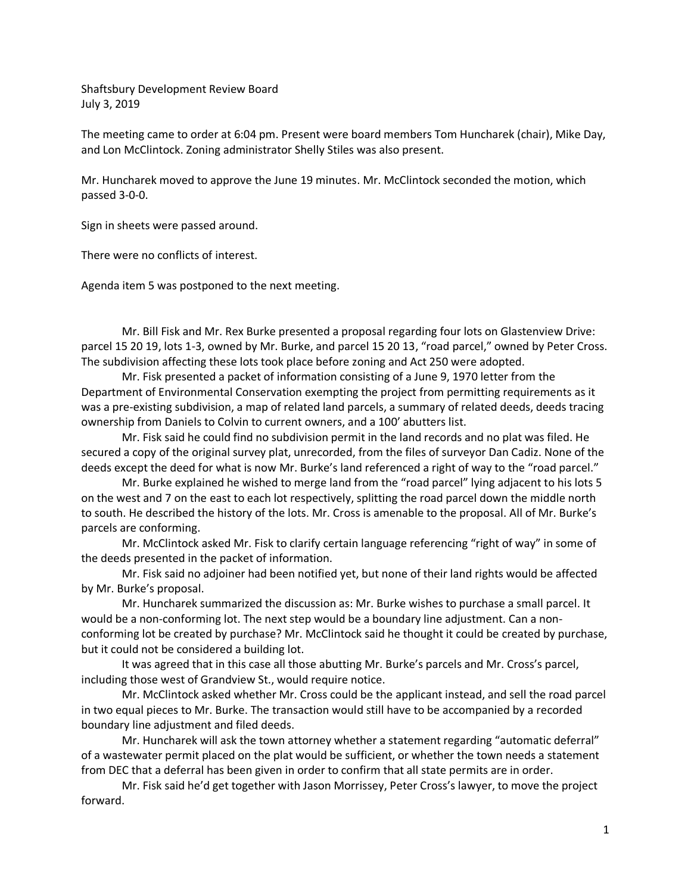Shaftsbury Development Review Board July 3, 2019

The meeting came to order at 6:04 pm. Present were board members Tom Huncharek (chair), Mike Day, and Lon McClintock. Zoning administrator Shelly Stiles was also present.

Mr. Huncharek moved to approve the June 19 minutes. Mr. McClintock seconded the motion, which passed 3-0-0.

Sign in sheets were passed around.

There were no conflicts of interest.

Agenda item 5 was postponed to the next meeting.

Mr. Bill Fisk and Mr. Rex Burke presented a proposal regarding four lots on Glastenview Drive: parcel 15 20 19, lots 1-3, owned by Mr. Burke, and parcel 15 20 13, "road parcel," owned by Peter Cross. The subdivision affecting these lots took place before zoning and Act 250 were adopted.

Mr. Fisk presented a packet of information consisting of a June 9, 1970 letter from the Department of Environmental Conservation exempting the project from permitting requirements as it was a pre-existing subdivision, a map of related land parcels, a summary of related deeds, deeds tracing ownership from Daniels to Colvin to current owners, and a 100' abutters list.

Mr. Fisk said he could find no subdivision permit in the land records and no plat was filed. He secured a copy of the original survey plat, unrecorded, from the files of surveyor Dan Cadiz. None of the deeds except the deed for what is now Mr. Burke's land referenced a right of way to the "road parcel."

Mr. Burke explained he wished to merge land from the "road parcel" lying adjacent to his lots 5 on the west and 7 on the east to each lot respectively, splitting the road parcel down the middle north to south. He described the history of the lots. Mr. Cross is amenable to the proposal. All of Mr. Burke's parcels are conforming.

Mr. McClintock asked Mr. Fisk to clarify certain language referencing "right of way" in some of the deeds presented in the packet of information.

Mr. Fisk said no adjoiner had been notified yet, but none of their land rights would be affected by Mr. Burke's proposal.

Mr. Huncharek summarized the discussion as: Mr. Burke wishes to purchase a small parcel. It would be a non-conforming lot. The next step would be a boundary line adjustment. Can a nonconforming lot be created by purchase? Mr. McClintock said he thought it could be created by purchase, but it could not be considered a building lot.

It was agreed that in this case all those abutting Mr. Burke's parcels and Mr. Cross's parcel, including those west of Grandview St., would require notice.

Mr. McClintock asked whether Mr. Cross could be the applicant instead, and sell the road parcel in two equal pieces to Mr. Burke. The transaction would still have to be accompanied by a recorded boundary line adjustment and filed deeds.

Mr. Huncharek will ask the town attorney whether a statement regarding "automatic deferral" of a wastewater permit placed on the plat would be sufficient, or whether the town needs a statement from DEC that a deferral has been given in order to confirm that all state permits are in order.

Mr. Fisk said he'd get together with Jason Morrissey, Peter Cross's lawyer, to move the project forward.